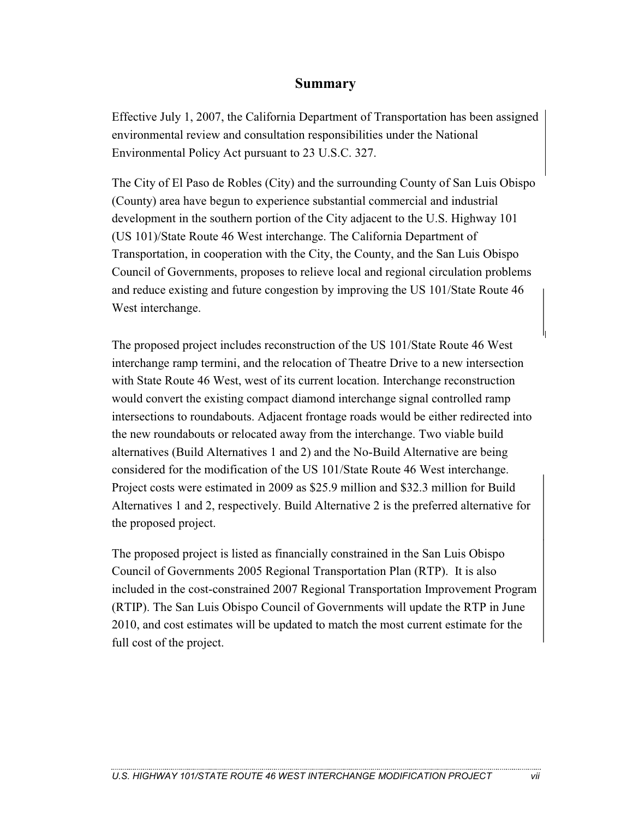## **Summary**

Effective July 1, 2007, the California Department of Transportation has been assigned environmental review and consultation responsibilities under the National Environmental Policy Act pursuant to 23 U.S.C. 327.

The City of El Paso de Robles (City) and the surrounding County of San Luis Obispo (County) area have begun to experience substantial commercial and industrial development in the southern portion of the City adjacent to the U.S. Highway 101 (US 101)/State Route 46 West interchange. The California Department of Transportation, in cooperation with the City, the County, and the San Luis Obispo Council of Governments, proposes to relieve local and regional circulation problems and reduce existing and future congestion by improving the US 101/State Route 46 West interchange.

The proposed project includes reconstruction of the US 101/State Route 46 West interchange ramp termini, and the relocation of Theatre Drive to a new intersection with State Route 46 West, west of its current location. Interchange reconstruction would convert the existing compact diamond interchange signal controlled ramp intersections to roundabouts. Adjacent frontage roads would be either redirected into the new roundabouts or relocated away from the interchange. Two viable build alternatives (Build Alternatives 1 and 2) and the No-Build Alternative are being considered for the modification of the US 101/State Route 46 West interchange. Project costs were estimated in 2009 as \$25.9 million and \$32.3 million for Build Alternatives 1 and 2, respectively. Build Alternative 2 is the preferred alternative for the proposed project.

The proposed project is listed as financially constrained in the San Luis Obispo Council of Governments 2005 Regional Transportation Plan (RTP). It is also included in the cost-constrained 2007 Regional Transportation Improvement Program (RTIP). The San Luis Obispo Council of Governments will update the RTP in June 2010, and cost estimates will be updated to match the most current estimate for the full cost of the project.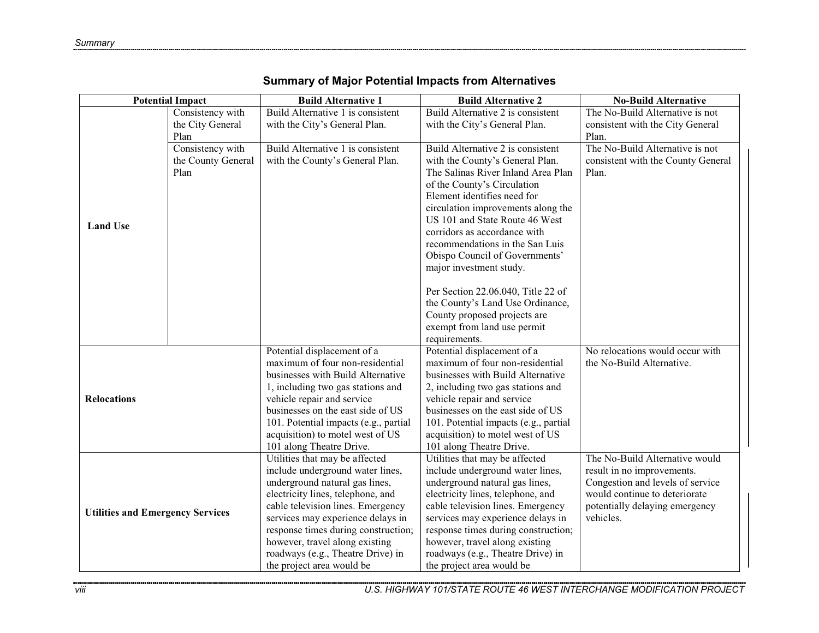| <b>Potential Impact</b>                 |                    | <b>Build Alternative 1</b>            | <b>Build Alternative 2</b>            | <b>No-Build Alternative</b>        |
|-----------------------------------------|--------------------|---------------------------------------|---------------------------------------|------------------------------------|
|                                         | Consistency with   | Build Alternative 1 is consistent     | Build Alternative 2 is consistent     | The No-Build Alternative is not    |
|                                         | the City General   | with the City's General Plan.         | with the City's General Plan.         | consistent with the City General   |
|                                         | Plan               |                                       |                                       | Plan.                              |
|                                         | Consistency with   | Build Alternative 1 is consistent     | Build Alternative 2 is consistent     | The No-Build Alternative is not    |
|                                         | the County General | with the County's General Plan.       | with the County's General Plan.       | consistent with the County General |
|                                         | Plan               |                                       | The Salinas River Inland Area Plan    | Plan.                              |
|                                         |                    |                                       | of the County's Circulation           |                                    |
|                                         |                    |                                       | Element identifies need for           |                                    |
|                                         |                    |                                       | circulation improvements along the    |                                    |
|                                         |                    |                                       | US 101 and State Route 46 West        |                                    |
| <b>Land Use</b>                         |                    |                                       | corridors as accordance with          |                                    |
|                                         |                    |                                       | recommendations in the San Luis       |                                    |
|                                         |                    |                                       | Obispo Council of Governments'        |                                    |
|                                         |                    |                                       | major investment study.               |                                    |
|                                         |                    |                                       |                                       |                                    |
|                                         |                    |                                       | Per Section 22.06.040, Title 22 of    |                                    |
|                                         |                    |                                       | the County's Land Use Ordinance,      |                                    |
|                                         |                    |                                       | County proposed projects are          |                                    |
|                                         |                    |                                       | exempt from land use permit           |                                    |
|                                         |                    |                                       | requirements.                         |                                    |
|                                         |                    | Potential displacement of a           | Potential displacement of a           | No relocations would occur with    |
|                                         |                    | maximum of four non-residential       | maximum of four non-residential       | the No-Build Alternative.          |
|                                         |                    | businesses with Build Alternative     | businesses with Build Alternative     |                                    |
|                                         |                    | 1, including two gas stations and     | 2, including two gas stations and     |                                    |
| <b>Relocations</b>                      |                    | vehicle repair and service            | vehicle repair and service            |                                    |
|                                         |                    | businesses on the east side of US     | businesses on the east side of US     |                                    |
|                                         |                    | 101. Potential impacts (e.g., partial | 101. Potential impacts (e.g., partial |                                    |
|                                         |                    | acquisition) to motel west of US      | acquisition) to motel west of US      |                                    |
|                                         |                    | 101 along Theatre Drive.              | 101 along Theatre Drive.              |                                    |
| <b>Utilities and Emergency Services</b> |                    | Utilities that may be affected        | Utilities that may be affected        | The No-Build Alternative would     |
|                                         |                    | include underground water lines,      | include underground water lines,      | result in no improvements.         |
|                                         |                    | underground natural gas lines,        | underground natural gas lines,        | Congestion and levels of service   |
|                                         |                    | electricity lines, telephone, and     | electricity lines, telephone, and     | would continue to deteriorate      |
|                                         |                    | cable television lines. Emergency     | cable television lines. Emergency     | potentially delaying emergency     |
|                                         |                    | services may experience delays in     | services may experience delays in     | vehicles.                          |
|                                         |                    | response times during construction;   | response times during construction;   |                                    |
|                                         |                    | however, travel along existing        | however, travel along existing        |                                    |
|                                         |                    | roadways (e.g., Theatre Drive) in     | roadways (e.g., Theatre Drive) in     |                                    |
|                                         |                    | the project area would be             | the project area would be             |                                    |

## **Summary of Major Potential Impacts from Alternatives**

*viii U.S. HIGHWAY 101/STATE ROUTE 46 WEST INTERCHANGE MODIFICATION PROJECT* 

,,,,,,,,,,,,,,,,,,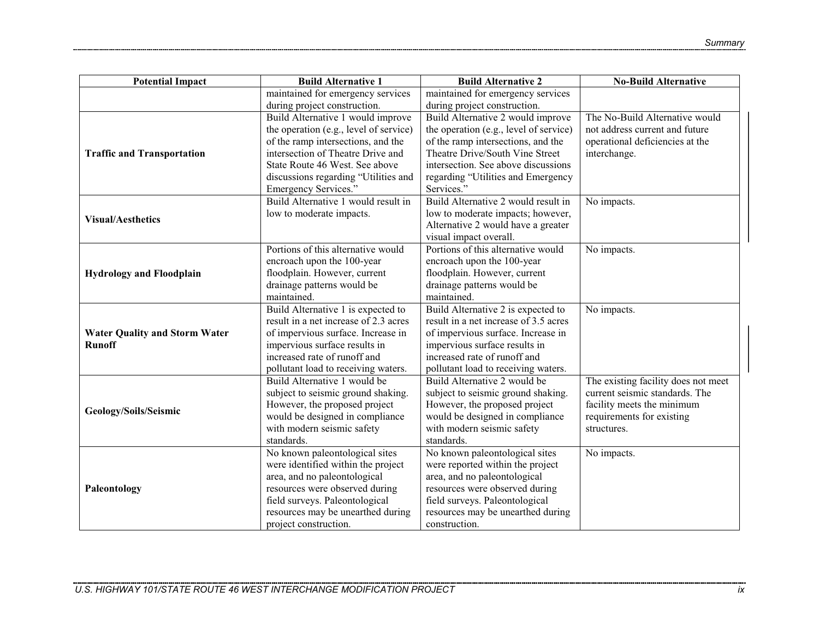| <b>Potential Impact</b>              | <b>Build Alternative 1</b>             | <b>Build Alternative 2</b>             | <b>No-Build Alternative</b>         |
|--------------------------------------|----------------------------------------|----------------------------------------|-------------------------------------|
|                                      | maintained for emergency services      | maintained for emergency services      |                                     |
|                                      | during project construction.           | during project construction.           |                                     |
|                                      | Build Alternative 1 would improve      | Build Alternative 2 would improve      | The No-Build Alternative would      |
|                                      | the operation (e.g., level of service) | the operation (e.g., level of service) | not address current and future      |
|                                      | of the ramp intersections, and the     | of the ramp intersections, and the     | operational deficiencies at the     |
| <b>Traffic and Transportation</b>    | intersection of Theatre Drive and      | Theatre Drive/South Vine Street        | interchange.                        |
|                                      | State Route 46 West. See above         | intersection. See above discussions    |                                     |
|                                      | discussions regarding "Utilities and   | regarding "Utilities and Emergency     |                                     |
|                                      | Emergency Services."                   | Services."                             |                                     |
|                                      | Build Alternative 1 would result in    | Build Alternative 2 would result in    | No impacts.                         |
| <b>Visual/Aesthetics</b>             | low to moderate impacts.               | low to moderate impacts; however,      |                                     |
|                                      |                                        | Alternative 2 would have a greater     |                                     |
|                                      |                                        | visual impact overall.                 |                                     |
|                                      | Portions of this alternative would     | Portions of this alternative would     | No impacts.                         |
|                                      | encroach upon the 100-year             | encroach upon the 100-year             |                                     |
| <b>Hydrology and Floodplain</b>      | floodplain. However, current           | floodplain. However, current           |                                     |
|                                      | drainage patterns would be             | drainage patterns would be             |                                     |
|                                      | maintained.                            | maintained.                            |                                     |
|                                      | Build Alternative 1 is expected to     | Build Alternative 2 is expected to     | No impacts.                         |
|                                      | result in a net increase of 2.3 acres  | result in a net increase of 3.5 acres  |                                     |
| <b>Water Quality and Storm Water</b> | of impervious surface. Increase in     | of impervious surface. Increase in     |                                     |
| <b>Runoff</b>                        | impervious surface results in          | impervious surface results in          |                                     |
|                                      | increased rate of runoff and           | increased rate of runoff and           |                                     |
|                                      | pollutant load to receiving waters.    | pollutant load to receiving waters.    |                                     |
|                                      | Build Alternative 1 would be           | Build Alternative 2 would be           | The existing facility does not meet |
|                                      | subject to seismic ground shaking.     | subject to seismic ground shaking.     | current seismic standards. The      |
| Geology/Soils/Seismic                | However, the proposed project          | However, the proposed project          | facility meets the minimum          |
|                                      | would be designed in compliance        | would be designed in compliance        | requirements for existing           |
|                                      | with modern seismic safety             | with modern seismic safety             | structures.                         |
|                                      | standards.                             | standards.                             |                                     |
|                                      | No known paleontological sites         | No known paleontological sites         | No impacts.                         |
|                                      | were identified within the project     | were reported within the project       |                                     |
|                                      | area, and no paleontological           | area, and no paleontological           |                                     |
| Paleontology                         | resources were observed during         | resources were observed during         |                                     |
|                                      | field surveys. Paleontological         | field surveys. Paleontological         |                                     |
|                                      | resources may be unearthed during      | resources may be unearthed during      |                                     |
|                                      | project construction.                  | construction.                          |                                     |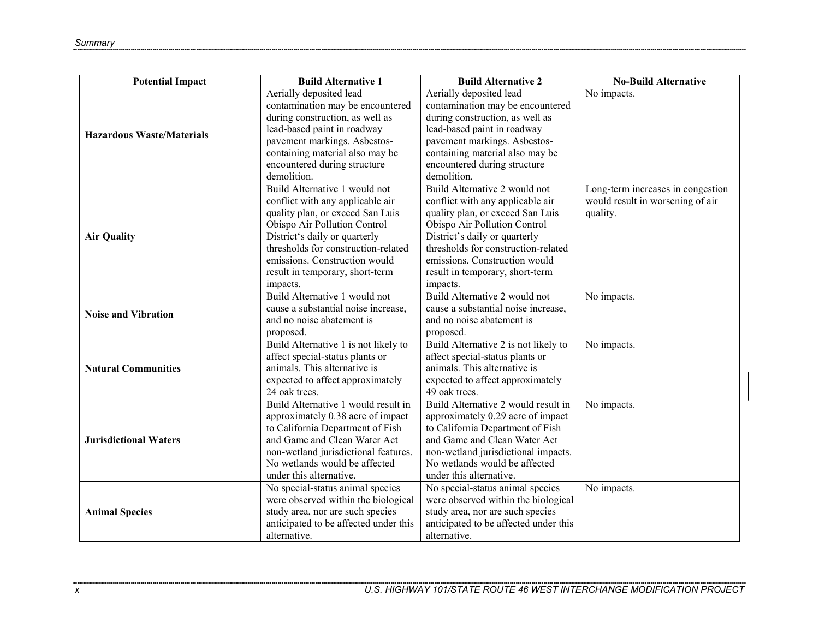| <b>Potential Impact</b>          | <b>Build Alternative 1</b>            | <b>Build Alternative 2</b>            | <b>No-Build Alternative</b>       |
|----------------------------------|---------------------------------------|---------------------------------------|-----------------------------------|
|                                  | Aerially deposited lead               | Aerially deposited lead               | No impacts.                       |
|                                  | contamination may be encountered      | contamination may be encountered      |                                   |
|                                  | during construction, as well as       | during construction, as well as       |                                   |
| <b>Hazardous Waste/Materials</b> | lead-based paint in roadway           | lead-based paint in roadway           |                                   |
|                                  | pavement markings. Asbestos-          | pavement markings. Asbestos-          |                                   |
|                                  | containing material also may be       | containing material also may be       |                                   |
|                                  | encountered during structure          | encountered during structure          |                                   |
|                                  | demolition.                           | demolition.                           |                                   |
|                                  | Build Alternative 1 would not         | Build Alternative 2 would not         | Long-term increases in congestion |
|                                  | conflict with any applicable air      | conflict with any applicable air      | would result in worsening of air  |
|                                  | quality plan, or exceed San Luis      | quality plan, or exceed San Luis      | quality.                          |
|                                  | Obispo Air Pollution Control          | Obispo Air Pollution Control          |                                   |
| <b>Air Quality</b>               | District's daily or quarterly         | District's daily or quarterly         |                                   |
|                                  | thresholds for construction-related   | thresholds for construction-related   |                                   |
|                                  | emissions. Construction would         | emissions. Construction would         |                                   |
|                                  | result in temporary, short-term       | result in temporary, short-term       |                                   |
|                                  | impacts.                              | impacts.                              |                                   |
|                                  | Build Alternative 1 would not         | Build Alternative 2 would not         | No impacts.                       |
| <b>Noise and Vibration</b>       | cause a substantial noise increase,   | cause a substantial noise increase,   |                                   |
|                                  | and no noise abatement is             | and no noise abatement is             |                                   |
|                                  | proposed.                             | proposed.                             |                                   |
|                                  | Build Alternative 1 is not likely to  | Build Alternative 2 is not likely to  | No impacts.                       |
|                                  | affect special-status plants or       | affect special-status plants or       |                                   |
| <b>Natural Communities</b>       | animals. This alternative is          | animals. This alternative is          |                                   |
|                                  | expected to affect approximately      | expected to affect approximately      |                                   |
|                                  | 24 oak trees.                         | 49 oak trees.                         |                                   |
|                                  | Build Alternative 1 would result in   | Build Alternative 2 would result in   | No impacts.                       |
|                                  | approximately 0.38 acre of impact     | approximately 0.29 acre of impact     |                                   |
|                                  | to California Department of Fish      | to California Department of Fish      |                                   |
| <b>Jurisdictional Waters</b>     | and Game and Clean Water Act          | and Game and Clean Water Act          |                                   |
|                                  | non-wetland jurisdictional features.  | non-wetland jurisdictional impacts.   |                                   |
|                                  | No wetlands would be affected         | No wetlands would be affected         |                                   |
|                                  | under this alternative.               | under this alternative.               |                                   |
|                                  | No special-status animal species      | No special-status animal species      | No impacts.                       |
|                                  | were observed within the biological   | were observed within the biological   |                                   |
| <b>Animal Species</b>            | study area, nor are such species      | study area, nor are such species      |                                   |
|                                  | anticipated to be affected under this | anticipated to be affected under this |                                   |
|                                  | alternative.                          | alternative.                          |                                   |